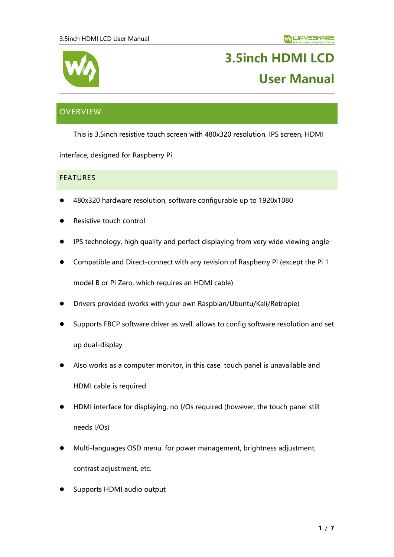

# **3.5inch HDMI LCD User Manual**

# <span id="page-0-0"></span>**OVERVIEW**

This is 3.5inch resistive touch screen with 480x320 resolution, IPS screen, HDMI

interface, designed for Raspberry Pi

### <span id="page-0-1"></span>**FEATURES**

- ⚫ 480x320 hardware resolution, software configurable up to 1920x1080
- ⚫ Resistive touch control
- ⚫ IPS technology, high quality and perfect displaying from very wide viewing angle
- ⚫ Compatible and Direct-connect with any revision of Raspberry Pi (except the Pi 1

model B or Pi Zero, which requires an HDMI cable)

- ⚫ Drivers provided (works with your own Raspbian/Ubuntu/Kali/Retropie)
- ⚫ Supports FBCP software driver as well, allows to config software resolution and set up dual-display
- ⚫ Also works as a computer monitor, in this case, touch panel is unavailable and HDMI cable is required
- ⚫ HDMI interface for displaying, no I/Os required (however, the touch panel still needs I/Os)
- ⚫ Multi-languages OSD menu, for power management, brightness adjustment, contrast adjustment, etc.
- ⚫ Supports HDMI audio output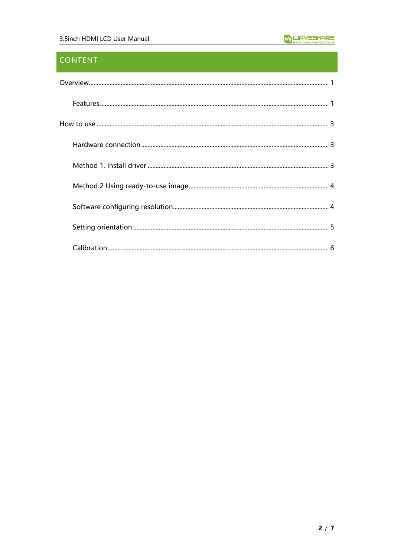# **CONTENT**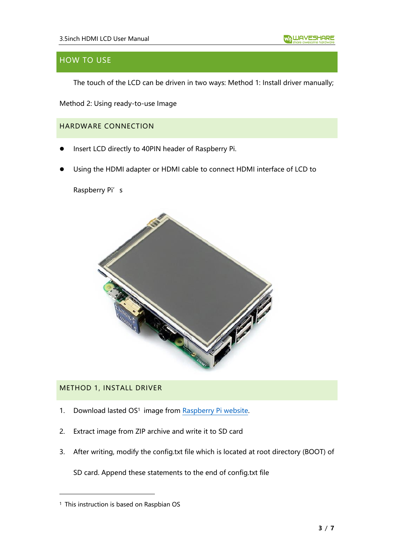# <span id="page-2-0"></span>HOW TO USE

The touch of the LCD can be driven in two ways: Method 1: Install driver manually;

Method 2: Using ready-to-use Image

<span id="page-2-1"></span>HARDWARE CONNECTION

- ⚫ Insert LCD directly to 40PIN header of Raspberry Pi.
- ⚫ Using the HDMI adapter or HDMI cable to connect HDMI interface of LCD to

Raspberry Pi's



## <span id="page-2-2"></span>METHOD 1, INSTALL DRIVER

- 1. Download lasted OS<sup>1</sup> image from [Raspberry Pi website.](https://www.raspberrypi.org/downloads/)
- 2. Extract image from ZIP archive and write it to SD card
- 3. After writing, modify the config.txt file which is located at root directory (BOOT) of

SD card. Append these statements to the end of config.txt file

<sup>&</sup>lt;sup>1</sup> This instruction is based on Raspbian OS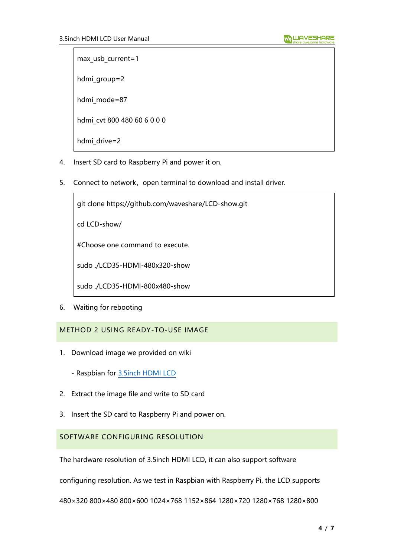max usb current=1

hdmi\_group=2

hdmi mode=87

hdmi\_cvt 800 480 60 6 0 0 0

- hdmi drive=2
- 4. Insert SD card to Raspberry Pi and power it on.
- 5. Connect to network, open terminal to download and install driver.

git clone https://github.com/waveshare/LCD-show.git

cd LCD-show/

#Choose one command to execute.

sudo ./LCD35-HDMI-480x320-show

sudo ./LCD35-HDMI-800x480-show

6. Waiting for rebooting

## <span id="page-3-0"></span>METHOD 2 USING READY-TO-USE IMAGE

1. Download image we provided on wiki

- Raspbian for [3.5inch HDMI LCD](https://drive.google.com/open?id=1wf51CQa4ihRm3DkmnKhJW4UL28oozl29)

- 2. Extract the image file and write to SD card
- 3. Insert the SD card to Raspberry Pi and power on.

## <span id="page-3-1"></span>SOFTWARE CONFIGURING RESOLUTION

The hardware resolution of 3.5inch HDMI LCD, it can also support software

configuring resolution. As we test in Raspbian with Raspberry Pi, the LCD supports

480×320 800×480 800×600 1024×768 1152×864 1280×720 1280×768 1280×800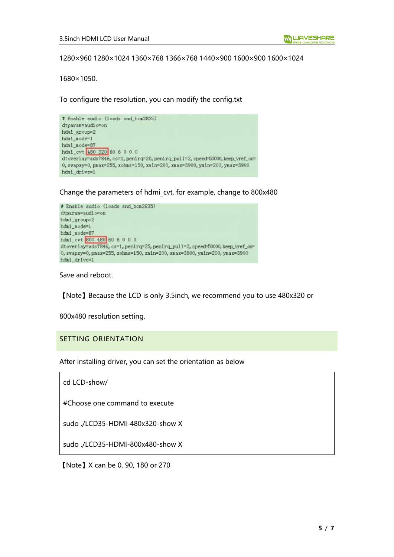1280×960 1280×1024 1360×768 1366×768 1440×900 1600×900 1600×1024

1680×1050.

To configure the resolution, you can modify the config.txt

# Enable audio (loads snd\_bcm2835) dtparan=audio=on hdai\_group=2  $hdni\_node=1$ hdai node=87 hdmi\_cvt 480 320 60 6 0 0 0 dtoverlay=ads7846, cs=1, penirq=25, penirq\_pull=2, speed=50000, keep\_vref\_or= 0, svapxy=0, pmax=255, xohms=150, xmin=200, xmax=3900, ymin=200, ymax=3900 hdmi\_drive=1

Change the parameters of hdmi\_cvt, for example, change to 800x480



Save and reboot.

【Note】Because the LCD is only 3.5inch, we recommend you to use 480x320 or

800x480 resolution setting.

#### <span id="page-4-0"></span>SETTING ORIENTATION

After installing driver, you can set the orientation as below

| cd LCD-show/ |
|--------------|
|--------------|

#Choose one command to execute

sudo ./LCD35-HDMI-480x320-show X

sudo ./LCD35-HDMI-800x480-show X

【Note】X can be 0, 90, 180 or 270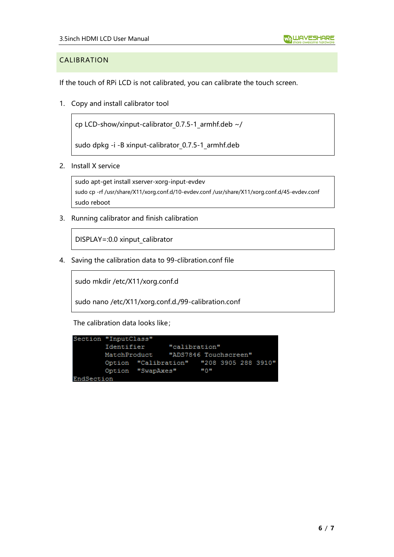## <span id="page-5-0"></span>CALIBRATION

If the touch of RPi LCD is not calibrated, you can calibrate the touch screen.

1. Copy and install calibrator tool

cp LCD-show/xinput-calibrator\_0.7.5-1\_armhf.deb ~/

sudo dpkg -i -B xinput-calibrator 0.7.5-1 armhf.deb

2. Install X service

```
sudo apt-get install xserver-xorg-input-evdev
sudo cp -rf /usr/share/X11/xorg.conf.d/10-evdev.conf /usr/share/X11/xorg.conf.d/45-evdev.conf
sudo reboot
```
3. Running calibrator and finish calibration

DISPLAY=:0.0 xinput\_calibrator

4. Saving the calibration data to 99-clibration.conf file

sudo mkdir /etc/X11/xorg.conf.d

sudo nano /etc/X11/xorg.conf.d./99-calibration.conf

The calibration data looks like;

```
Section "InputClass"
       Identifier
                       "calibration"
       MatchProduct
                       "ADS7846 Touchscreen"
                              "208 3905 288 3910"
        Option "Calibration"
        Option "SwapAxes"
                               "0"EndSection
```